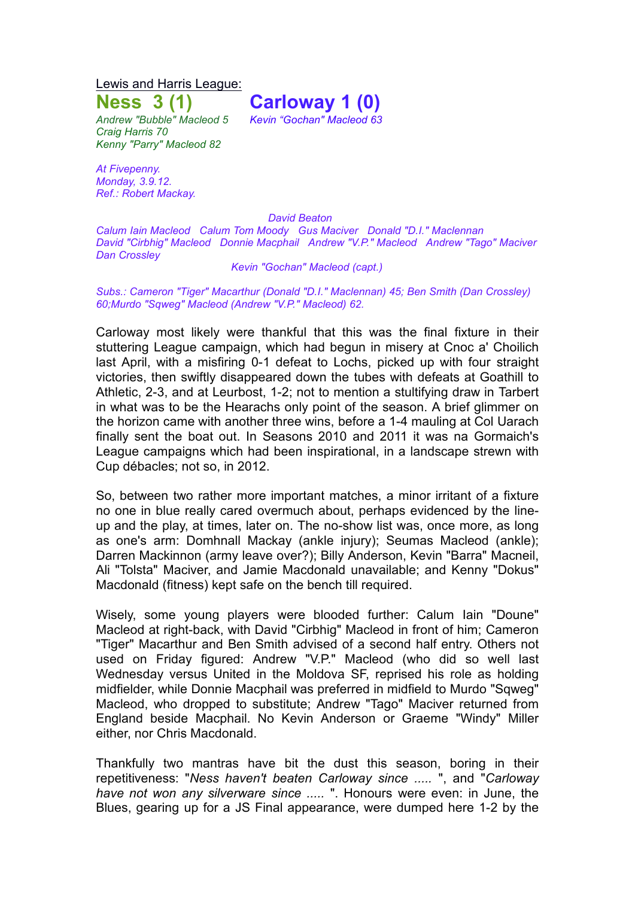Lewis and Harris League:

**Ness 3 (1) Carloway 1 (0)**

*Andrew "Bubble" Macleod 5 Kevin "Gochan" Macleod 63 Craig Harris 70 Kenny "Parry" Macleod 82*

*At Fivepenny. Monday, 3.9.12. Ref.: Robert Mackay.*

*David Beaton*

*Calum Iain Macleod Calum Tom Moody Gus Maciver Donald "D.I." Maclennan David "Cirbhig" Macleod Donnie Macphail Andrew "V.P." Macleod Andrew "Tago" Maciver Dan Crossley*

## *Kevin "Gochan" Macleod (capt.)*

*Subs.: Cameron "Tiger" Macarthur (Donald "D.I." Maclennan) 45; Ben Smith (Dan Crossley) 60;Murdo "Sqweg" Macleod (Andrew "V.P." Macleod) 62.*

Carloway most likely were thankful that this was the final fixture in their stuttering League campaign, which had begun in misery at Cnoc a' Choilich last April, with a misfiring 0-1 defeat to Lochs, picked up with four straight victories, then swiftly disappeared down the tubes with defeats at Goathill to Athletic, 2-3, and at Leurbost, 1-2; not to mention a stultifying draw in Tarbert in what was to be the Hearachs only point of the season. A brief glimmer on the horizon came with another three wins, before a 1-4 mauling at Col Uarach finally sent the boat out. In Seasons 2010 and 2011 it was na Gormaich's League campaigns which had been inspirational, in a landscape strewn with Cup débacles; not so, in 2012.

So, between two rather more important matches, a minor irritant of a fixture no one in blue really cared overmuch about, perhaps evidenced by the lineup and the play, at times, later on. The no-show list was, once more, as long as one's arm: Domhnall Mackay (ankle injury); Seumas Macleod (ankle); Darren Mackinnon (army leave over?); Billy Anderson, Kevin "Barra" Macneil, Ali "Tolsta" Maciver, and Jamie Macdonald unavailable; and Kenny "Dokus" Macdonald (fitness) kept safe on the bench till required.

Wisely, some young players were blooded further: Calum Iain "Doune" Macleod at right-back, with David "Cirbhig" Macleod in front of him; Cameron "Tiger" Macarthur and Ben Smith advised of a second half entry. Others not used on Friday figured: Andrew "V.P." Macleod (who did so well last Wednesday versus United in the Moldova SF, reprised his role as holding midfielder, while Donnie Macphail was preferred in midfield to Murdo "Sqweg" Macleod, who dropped to substitute; Andrew "Tago" Maciver returned from England beside Macphail. No Kevin Anderson or Graeme "Windy" Miller either, nor Chris Macdonald.

Thankfully two mantras have bit the dust this season, boring in their repetitiveness: "*Ness haven't beaten Carloway since .....* ", and "*Carloway have not won any silverware since .....* ". Honours were even: in June, the Blues, gearing up for a JS Final appearance, were dumped here 1-2 by the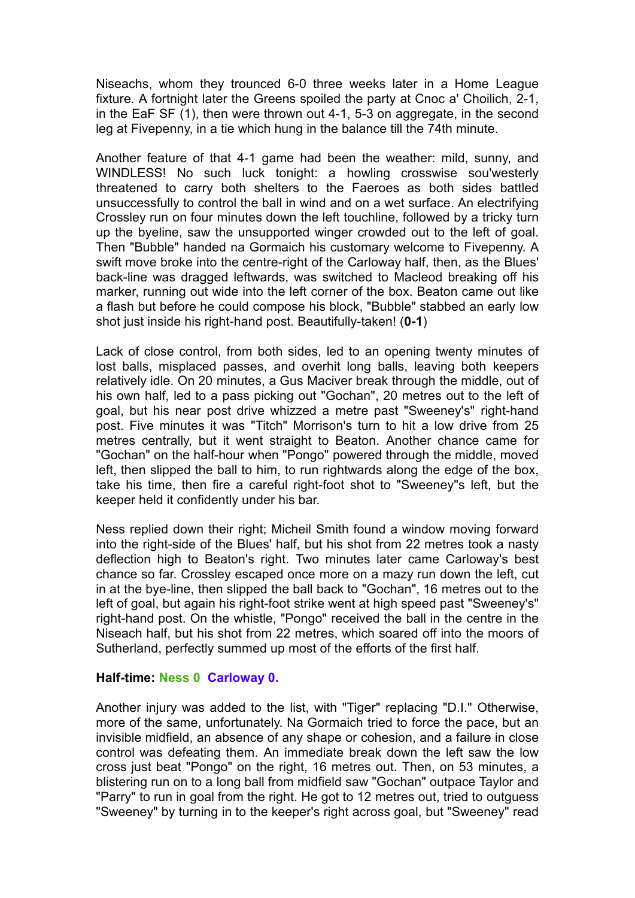Niseachs, whom they trounced 6-0 three weeks later in a Home League fixture. A fortnight later the Greens spoiled the party at Cnoc a' Choilich, 2-1, in the EaF SF (1), then were thrown out 4-1, 5-3 on aggregate, in the second leg at Fivepenny, in a tie which hung in the balance till the 74th minute.

Another feature of that 4-1 game had been the weather: mild, sunny, and WINDLESS! No such luck tonight: a howling crosswise sou'westerly threatened to carry both shelters to the Faeroes as both sides battled unsuccessfully to control the ball in wind and on a wet surface. An electrifying Crossley run on four minutes down the left touchline, followed by a tricky turn up the byeline, saw the unsupported winger crowded out to the left of goal. Then "Bubble" handed na Gormaich his customary welcome to Fivepenny. A swift move broke into the centre-right of the Carloway half, then, as the Blues' back-line was dragged leftwards, was switched to Macleod breaking off his marker, running out wide into the left corner of the box. Beaton came out like a flash but before he could compose his block, "Bubble" stabbed an early low shot just inside his right-hand post. Beautifully-taken! (**0-1**)

Lack of close control, from both sides, led to an opening twenty minutes of lost balls, misplaced passes, and overhit long balls, leaving both keepers relatively idle. On 20 minutes, a Gus Maciver break through the middle, out of his own half, led to a pass picking out "Gochan", 20 metres out to the left of goal, but his near post drive whizzed a metre past "Sweeney's" right-hand post. Five minutes it was "Titch" Morrison's turn to hit a low drive from 25 metres centrally, but it went straight to Beaton. Another chance came for "Gochan" on the half-hour when "Pongo" powered through the middle, moved left, then slipped the ball to him, to run rightwards along the edge of the box, take his time, then fire a careful right-foot shot to "Sweeney"s left, but the keeper held it confidently under his bar.

Ness replied down their right; Micheil Smith found a window moving forward into the right-side of the Blues' half, but his shot from 22 metres took a nasty deflection high to Beaton's right. Two minutes later came Carloway's best chance so far. Crossley escaped once more on a mazy run down the left, cut in at the bye-line, then slipped the ball back to "Gochan", 16 metres out to the left of goal, but again his right-foot strike went at high speed past "Sweeney's" right-hand post. On the whistle, "Pongo" received the ball in the centre in the Niseach half, but his shot from 22 metres, which soared off into the moors of Sutherland, perfectly summed up most of the efforts of the first half.

## **Half-time: Ness 0 Carloway 0.**

Another injury was added to the list, with "Tiger" replacing "D.I." Otherwise, more of the same, unfortunately. Na Gormaich tried to force the pace, but an invisible midfield, an absence of any shape or cohesion, and a failure in close control was defeating them. An immediate break down the left saw the low cross just beat "Pongo" on the right, 16 metres out. Then, on 53 minutes, a blistering run on to a long ball from midfield saw "Gochan" outpace Taylor and "Parry" to run in goal from the right. He got to 12 metres out, tried to outguess "Sweeney" by turning in to the keeper's right across goal, but "Sweeney" read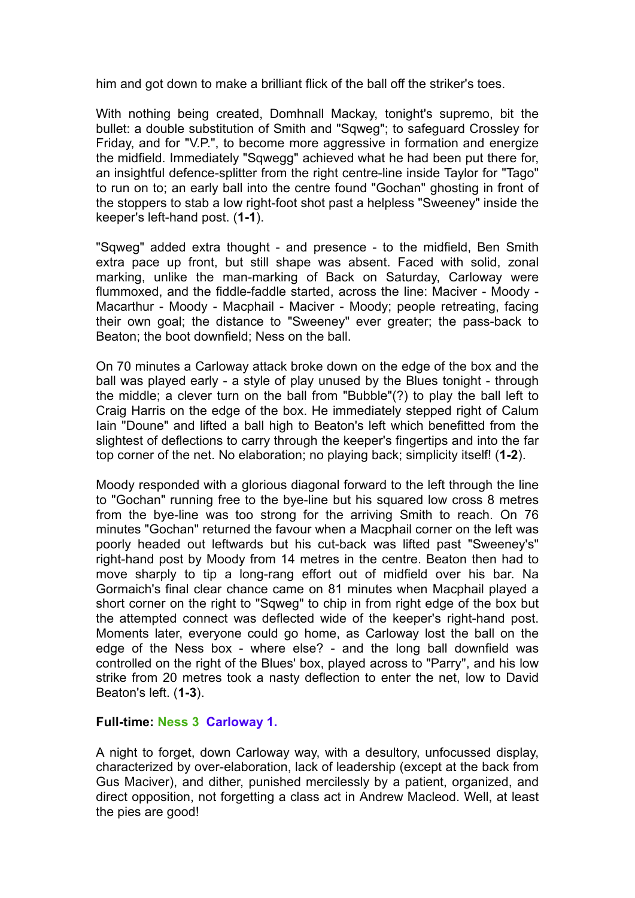him and got down to make a brilliant flick of the ball off the striker's toes.

With nothing being created, Domhnall Mackay, tonight's supremo, bit the bullet: a double substitution of Smith and "Sqweg"; to safeguard Crossley for Friday, and for "V.P.", to become more aggressive in formation and energize the midfield. Immediately "Sqwegg" achieved what he had been put there for, an insightful defence-splitter from the right centre-line inside Taylor for "Tago" to run on to; an early ball into the centre found "Gochan" ghosting in front of the stoppers to stab a low right-foot shot past a helpless "Sweeney" inside the keeper's left-hand post. (**1-1**).

"Sqweg" added extra thought - and presence - to the midfield, Ben Smith extra pace up front, but still shape was absent. Faced with solid, zonal marking, unlike the man-marking of Back on Saturday, Carloway were flummoxed, and the fiddle-faddle started, across the line: Maciver - Moody - Macarthur - Moody - Macphail - Maciver - Moody; people retreating, facing their own goal; the distance to "Sweeney" ever greater; the pass-back to Beaton; the boot downfield; Ness on the ball.

On 70 minutes a Carloway attack broke down on the edge of the box and the ball was played early - a style of play unused by the Blues tonight - through the middle; a clever turn on the ball from "Bubble"(?) to play the ball left to Craig Harris on the edge of the box. He immediately stepped right of Calum Iain "Doune" and lifted a ball high to Beaton's left which benefitted from the slightest of deflections to carry through the keeper's fingertips and into the far top corner of the net. No elaboration; no playing back; simplicity itself! (**1-2**).

Moody responded with a glorious diagonal forward to the left through the line to "Gochan" running free to the bye-line but his squared low cross 8 metres from the bye-line was too strong for the arriving Smith to reach. On 76 minutes "Gochan" returned the favour when a Macphail corner on the left was poorly headed out leftwards but his cut-back was lifted past "Sweeney's" right-hand post by Moody from 14 metres in the centre. Beaton then had to move sharply to tip a long-rang effort out of midfield over his bar. Na Gormaich's final clear chance came on 81 minutes when Macphail played a short corner on the right to "Sqweg" to chip in from right edge of the box but the attempted connect was deflected wide of the keeper's right-hand post. Moments later, everyone could go home, as Carloway lost the ball on the edge of the Ness box - where else? - and the long ball downfield was controlled on the right of the Blues' box, played across to "Parry", and his low strike from 20 metres took a nasty deflection to enter the net, low to David Beaton's left. (**1-3**).

## **Full-time: Ness 3 Carloway 1.**

A night to forget, down Carloway way, with a desultory, unfocussed display, characterized by over-elaboration, lack of leadership (except at the back from Gus Maciver), and dither, punished mercilessly by a patient, organized, and direct opposition, not forgetting a class act in Andrew Macleod. Well, at least the pies are good!